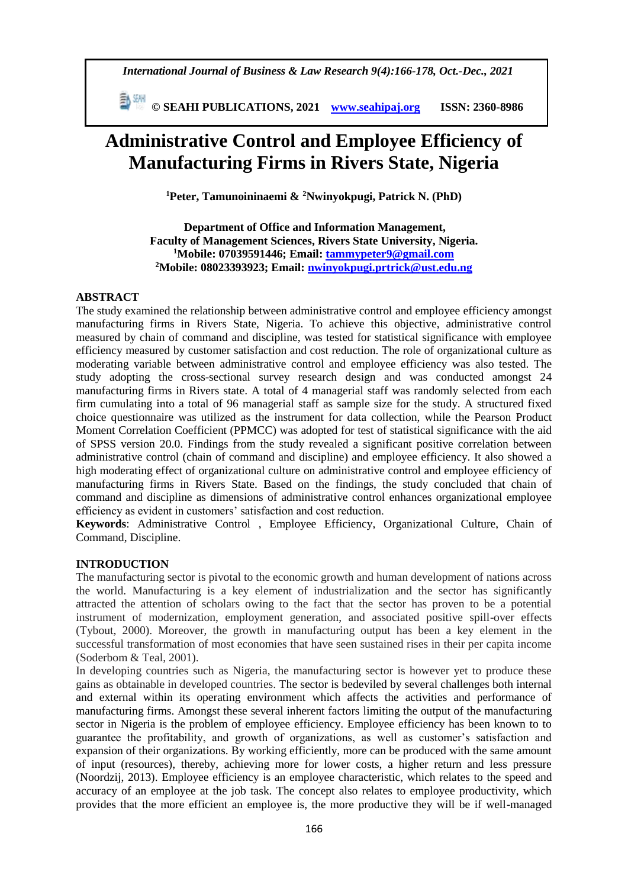*International Journal of Business & Law Research 9(4):166-178, Oct.-Dec., 2021*

 **© SEAHI PUBLICATIONS, 2021 [www.seahipaj.org](http://www.seahipaj.org/) ISSN: 2360-8986**

# **Administrative Control and Employee Efficiency of Manufacturing Firms in Rivers State, Nigeria**

**<sup>1</sup>Peter, Tamunoininaemi & <sup>2</sup>Nwinyokpugi, Patrick N. (PhD)**

**Department of Office and Information Management, Faculty of Management Sciences, Rivers State University, Nigeria. <sup>1</sup>Mobile: 07039591446; Email: [tammypeter9@gmail.com](mailto:tammypeter9@gmail.com) <sup>2</sup>Mobile: 08023393923; Email: [nwinyokpugi.prtrick@ust.edu.ng](mailto:nwinyokpugi.prtrick@ust.edu.ng)**

### **ABSTRACT**

The study examined the relationship between administrative control and employee efficiency amongst manufacturing firms in Rivers State, Nigeria. To achieve this objective, administrative control measured by chain of command and discipline, was tested for statistical significance with employee efficiency measured by customer satisfaction and cost reduction. The role of organizational culture as moderating variable between administrative control and employee efficiency was also tested. The study adopting the cross-sectional survey research design and was conducted amongst 24 manufacturing firms in Rivers state. A total of 4 managerial staff was randomly selected from each firm cumulating into a total of 96 managerial staff as sample size for the study. A structured fixed choice questionnaire was utilized as the instrument for data collection, while the Pearson Product Moment Correlation Coefficient (PPMCC) was adopted for test of statistical significance with the aid of SPSS version 20.0. Findings from the study revealed a significant positive correlation between administrative control (chain of command and discipline) and employee efficiency. It also showed a high moderating effect of organizational culture on administrative control and employee efficiency of manufacturing firms in Rivers State. Based on the findings, the study concluded that chain of command and discipline as dimensions of administrative control enhances organizational employee efficiency as evident in customers' satisfaction and cost reduction.

**Keywords**: Administrative Control , Employee Efficiency, Organizational Culture, Chain of Command, Discipline.

#### **INTRODUCTION**

The manufacturing sector is pivotal to the economic growth and human development of nations across the world. Manufacturing is a key element of industrialization and the sector has significantly attracted the attention of scholars owing to the fact that the sector has proven to be a potential instrument of modernization, employment generation, and associated positive spill-over effects (Tybout, 2000). Moreover, the growth in manufacturing output has been a key element in the successful transformation of most economies that have seen sustained rises in their per capita income (Soderbom & Teal, 2001).

In developing countries such as Nigeria, the manufacturing sector is however yet to produce these gains as obtainable in developed countries. The sector is bedeviled by several challenges both internal and external within its operating environment which affects the activities and performance of manufacturing firms. Amongst these several inherent factors limiting the output of the manufacturing sector in Nigeria is the problem of employee efficiency. Employee efficiency has been known to to guarantee the profitability, and growth of organizations, as well as customer's satisfaction and expansion of their organizations. By working efficiently, more can be produced with the same amount of input (resources), thereby, achieving more for lower costs, a higher return and less pressure (Noordzij, 2013). Employee efficiency is an employee characteristic, which relates to the speed and accuracy of an employee at the job task. The concept also relates to employee productivity, which provides that the more efficient an employee is, the more productive they will be if well-managed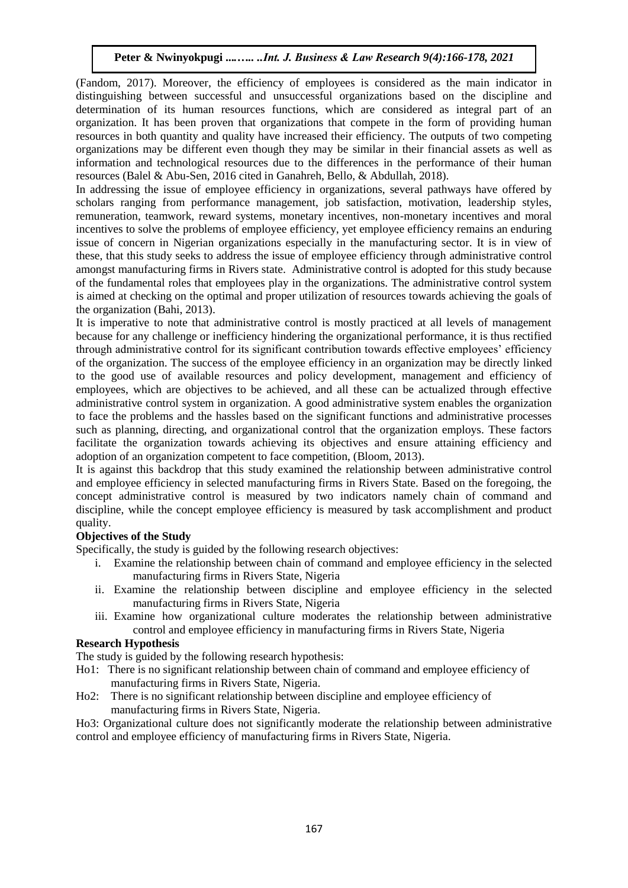(Fandom, 2017). Moreover, the efficiency of employees is considered as the main indicator in distinguishing between successful and unsuccessful organizations based on the discipline and determination of its human resources functions, which are considered as integral part of an organization. It has been proven that organizations that compete in the form of providing human resources in both quantity and quality have increased their efficiency. The outputs of two competing organizations may be different even though they may be similar in their financial assets as well as information and technological resources due to the differences in the performance of their human resources (Balel & Abu-Sen, 2016 cited in Ganahreh, Bello, & Abdullah, 2018).

In addressing the issue of employee efficiency in organizations, several pathways have offered by scholars ranging from performance management, job satisfaction, motivation, leadership styles, remuneration, teamwork, reward systems, monetary incentives, non-monetary incentives and moral incentives to solve the problems of employee efficiency, yet employee efficiency remains an enduring issue of concern in Nigerian organizations especially in the manufacturing sector. It is in view of these, that this study seeks to address the issue of employee efficiency through administrative control amongst manufacturing firms in Rivers state. Administrative control is adopted for this study because of the fundamental roles that employees play in the organizations. The administrative control system is aimed at checking on the optimal and proper utilization of resources towards achieving the goals of the organization (Bahi, 2013).

It is imperative to note that administrative control is mostly practiced at all levels of management because for any challenge or inefficiency hindering the organizational performance, it is thus rectified through administrative control for its significant contribution towards effective employees' efficiency of the organization. The success of the employee efficiency in an organization may be directly linked to the good use of available resources and policy development, management and efficiency of employees, which are objectives to be achieved, and all these can be actualized through effective administrative control system in organization. A good administrative system enables the organization to face the problems and the hassles based on the significant functions and administrative processes such as planning, directing, and organizational control that the organization employs. These factors facilitate the organization towards achieving its objectives and ensure attaining efficiency and adoption of an organization competent to face competition, (Bloom, 2013).

It is against this backdrop that this study examined the relationship between administrative control and employee efficiency in selected manufacturing firms in Rivers State. Based on the foregoing, the concept administrative control is measured by two indicators namely chain of command and discipline, while the concept employee efficiency is measured by task accomplishment and product quality.

# **Objectives of the Study**

Specifically, the study is guided by the following research objectives:

- i. Examine the relationship between chain of command and employee efficiency in the selected manufacturing firms in Rivers State, Nigeria
- ii. Examine the relationship between discipline and employee efficiency in the selected manufacturing firms in Rivers State, Nigeria
- iii. Examine how organizational culture moderates the relationship between administrative control and employee efficiency in manufacturing firms in Rivers State, Nigeria

# **Research Hypothesis**

The study is guided by the following research hypothesis:

- Ho1: There is no significant relationship between chain of command and employee efficiency of manufacturing firms in Rivers State, Nigeria.
- Ho2: There is no significant relationship between discipline and employee efficiency of manufacturing firms in Rivers State, Nigeria.

Ho3: Organizational culture does not significantly moderate the relationship between administrative control and employee efficiency of manufacturing firms in Rivers State, Nigeria.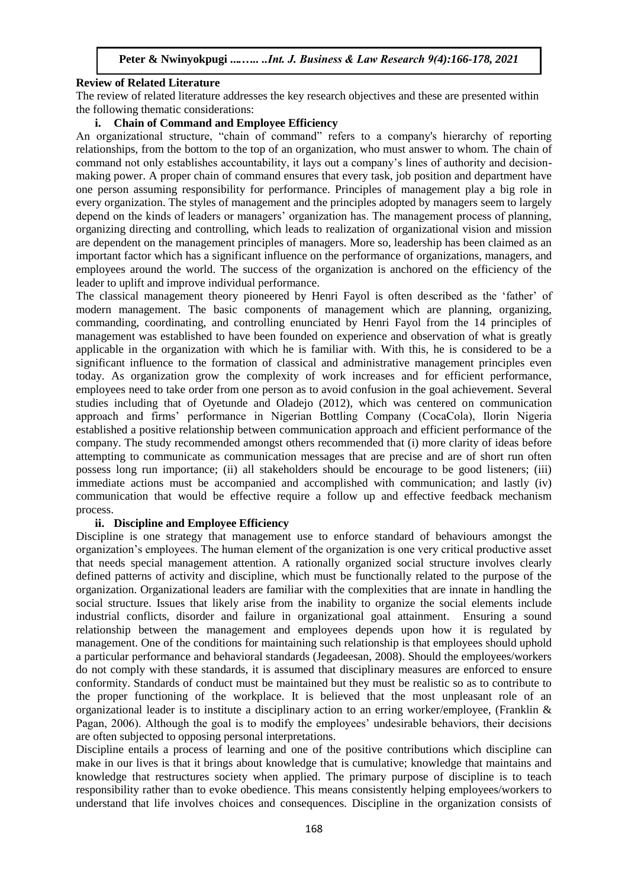#### **Review of Related Literature**

The review of related literature addresses the key research objectives and these are presented within the following thematic considerations:

#### **i. Chain of Command and Employee Efficiency**

An organizational structure, "chain of command" refers to a company's hierarchy of reporting relationships, from the bottom to the top of an organization, who must answer to whom. The chain of command not only establishes accountability, it lays out a company's lines of authority and decisionmaking power. A proper chain of command ensures that every task, job position and department have one person assuming responsibility for performance. Principles of management play a big role in every organization. The styles of management and the principles adopted by managers seem to largely depend on the kinds of leaders or managers' organization has. The management process of planning, organizing directing and controlling, which leads to realization of organizational vision and mission are dependent on the management principles of managers. More so, leadership has been claimed as an important factor which has a significant influence on the performance of organizations, managers, and employees around the world. The success of the organization is anchored on the efficiency of the leader to uplift and improve individual performance.

The classical management theory pioneered by Henri Fayol is often described as the 'father' of modern management. The basic components of management which are planning, organizing, commanding, coordinating, and controlling enunciated by Henri Fayol from the 14 principles of management was established to have been founded on experience and observation of what is greatly applicable in the organization with which he is familiar with. With this, he is considered to be a significant influence to the formation of classical and administrative management principles even today. As organization grow the complexity of work increases and for efficient performance, employees need to take order from one person as to avoid confusion in the goal achievement. Several studies including that of Oyetunde and Oladejo (2012), which was centered on communication approach and firms' performance in Nigerian Bottling Company (CocaCola), Ilorin Nigeria established a positive relationship between communication approach and efficient performance of the company. The study recommended amongst others recommended that (i) more clarity of ideas before attempting to communicate as communication messages that are precise and are of short run often possess long run importance; (ii) all stakeholders should be encourage to be good listeners; (iii) immediate actions must be accompanied and accomplished with communication; and lastly (iv) communication that would be effective require a follow up and effective feedback mechanism process.

#### **ii. Discipline and Employee Efficiency**

Discipline is one strategy that management use to enforce standard of behaviours amongst the organization's employees. The human element of the organization is one very critical productive asset that needs special management attention. A rationally organized social structure involves clearly defined patterns of activity and discipline, which must be functionally related to the purpose of the organization. Organizational leaders are familiar with the complexities that are innate in handling the social structure. Issues that likely arise from the inability to organize the social elements include industrial conflicts, disorder and failure in organizational goal attainment. Ensuring a sound relationship between the management and employees depends upon how it is regulated by management. One of the conditions for maintaining such relationship is that employees should uphold a particular performance and behavioral standards (Jegadeesan, 2008). Should the employees/workers do not comply with these standards, it is assumed that disciplinary measures are enforced to ensure conformity. Standards of conduct must be maintained but they must be realistic so as to contribute to the proper functioning of the workplace. It is believed that the most unpleasant role of an organizational leader is to institute a disciplinary action to an erring worker/employee, (Franklin & Pagan, 2006). Although the goal is to modify the employees' undesirable behaviors, their decisions are often subjected to opposing personal interpretations.

Discipline entails a process of learning and one of the positive contributions which discipline can make in our lives is that it brings about knowledge that is cumulative; knowledge that maintains and knowledge that restructures society when applied. The primary purpose of discipline is to teach responsibility rather than to evoke obedience. This means consistently helping employees/workers to understand that life involves choices and consequences. Discipline in the organization consists of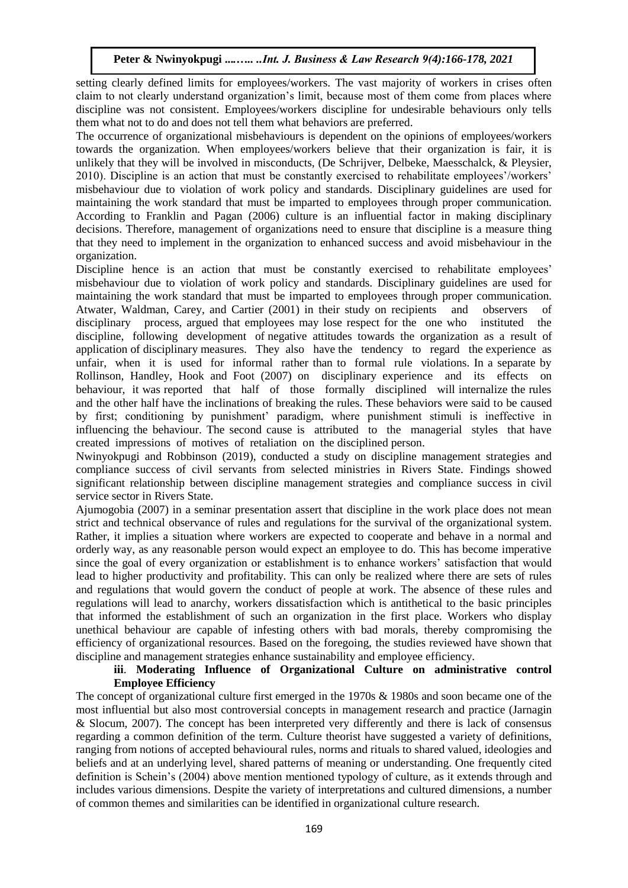setting clearly defined limits for employees/workers. The vast majority of workers in crises often claim to not clearly understand organization's limit, because most of them come from places where discipline was not consistent. Employees/workers discipline for undesirable behaviours only tells them what not to do and does not tell them what behaviors are preferred.

The occurrence of organizational misbehaviours is dependent on the opinions of employees/workers towards the organization. When employees/workers believe that their organization is fair, it is unlikely that they will be involved in misconducts, (De Schrijver, Delbeke, Maesschalck, & Pleysier, 2010). Discipline is an action that must be constantly exercised to rehabilitate employees'/workers' misbehaviour due to violation of work policy and standards. Disciplinary guidelines are used for maintaining the work standard that must be imparted to employees through proper communication. According to Franklin and Pagan (2006) culture is an influential factor in making disciplinary decisions. Therefore, management of organizations need to ensure that discipline is a measure thing that they need to implement in the organization to enhanced success and avoid misbehaviour in the organization.

Discipline hence is an action that must be constantly exercised to rehabilitate employees' misbehaviour due to violation of work policy and standards. Disciplinary guidelines are used for maintaining the work standard that must be imparted to employees through proper communication. Atwater, Waldman, Carey, and Cartier (2001) in their study on recipients and observers of disciplinary process, argued that employees may lose respect for the one who instituted the discipline, following development of negative attitudes towards the organization as a result of application of disciplinary measures. They also have the tendency to regard the experience as unfair, when it is used for informal rather than to formal rule violations. In a separate by Rollinson, Handley, Hook and Foot (2007) on disciplinary experience and its effects on behaviour, it was reported that half of those formally disciplined will internalize the rules and the other half have the inclinations of breaking the rules. These behaviors were said to be caused by first; conditioning by punishment' paradigm, where punishment stimuli is ineffective in influencing the behaviour. The second cause is attributed to the managerial styles that have created impressions of motives of retaliation on the disciplined person.

Nwinyokpugi and Robbinson (2019), conducted a study on discipline management strategies and compliance success of civil servants from selected ministries in Rivers State. Findings showed significant relationship between discipline management strategies and compliance success in civil service sector in Rivers State.

Ajumogobia (2007) in a seminar presentation assert that discipline in the work place does not mean strict and technical observance of rules and regulations for the survival of the organizational system. Rather, it implies a situation where workers are expected to cooperate and behave in a normal and orderly way, as any reasonable person would expect an employee to do. This has become imperative since the goal of every organization or establishment is to enhance workers' satisfaction that would lead to higher productivity and profitability. This can only be realized where there are sets of rules and regulations that would govern the conduct of people at work. The absence of these rules and regulations will lead to anarchy, workers dissatisfaction which is antithetical to the basic principles that informed the establishment of such an organization in the first place. Workers who display unethical behaviour are capable of infesting others with bad morals, thereby compromising the efficiency of organizational resources. Based on the foregoing, the studies reviewed have shown that discipline and management strategies enhance sustainability and employee efficiency.

#### **iii**. **Moderating Influence of Organizational Culture on administrative control Employee Efficiency**

The concept of organizational culture first emerged in the 1970s & 1980s and soon became one of the most influential but also most controversial concepts in management research and practice (Jarnagin & Slocum, 2007). The concept has been interpreted very differently and there is lack of consensus regarding a common definition of the term. Culture theorist have suggested a variety of definitions, ranging from notions of accepted behavioural rules, norms and rituals to shared valued, ideologies and beliefs and at an underlying level, shared patterns of meaning or understanding. One frequently cited definition is Schein's (2004) above mention mentioned typology of culture, as it extends through and includes various dimensions. Despite the variety of interpretations and cultured dimensions, a number of common themes and similarities can be identified in organizational culture research.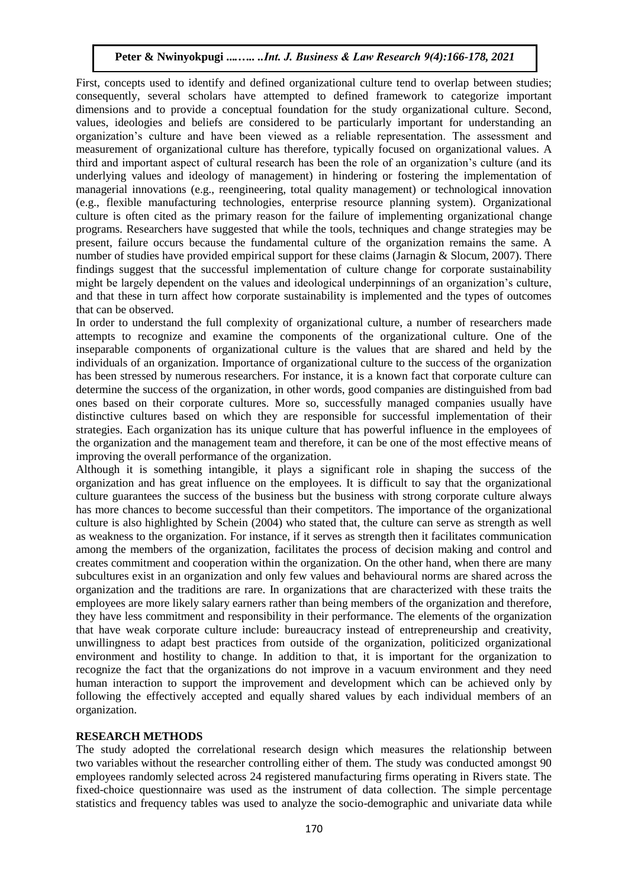First, concepts used to identify and defined organizational culture tend to overlap between studies; consequently, several scholars have attempted to defined framework to categorize important dimensions and to provide a conceptual foundation for the study organizational culture. Second, values, ideologies and beliefs are considered to be particularly important for understanding an organization's culture and have been viewed as a reliable representation. The assessment and measurement of organizational culture has therefore, typically focused on organizational values. A third and important aspect of cultural research has been the role of an organization's culture (and its underlying values and ideology of management) in hindering or fostering the implementation of managerial innovations (e.g., reengineering, total quality management) or technological innovation (e.g., flexible manufacturing technologies, enterprise resource planning system). Organizational culture is often cited as the primary reason for the failure of implementing organizational change programs. Researchers have suggested that while the tools, techniques and change strategies may be present, failure occurs because the fundamental culture of the organization remains the same. A number of studies have provided empirical support for these claims (Jarnagin & Slocum, 2007). There findings suggest that the successful implementation of culture change for corporate sustainability might be largely dependent on the values and ideological underpinnings of an organization's culture, and that these in turn affect how corporate sustainability is implemented and the types of outcomes that can be observed.

In order to understand the full complexity of organizational culture, a number of researchers made attempts to recognize and examine the components of the organizational culture. One of the inseparable components of organizational culture is the values that are shared and held by the individuals of an organization. Importance of organizational culture to the success of the organization has been stressed by numerous researchers. For instance, it is a known fact that corporate culture can determine the success of the organization, in other words, good companies are distinguished from bad ones based on their corporate cultures. More so, successfully managed companies usually have distinctive cultures based on which they are responsible for successful implementation of their strategies. Each organization has its unique culture that has powerful influence in the employees of the organization and the management team and therefore, it can be one of the most effective means of improving the overall performance of the organization.

Although it is something intangible, it plays a significant role in shaping the success of the organization and has great influence on the employees. It is difficult to say that the organizational culture guarantees the success of the business but the business with strong corporate culture always has more chances to become successful than their competitors. The importance of the organizational culture is also highlighted by Schein (2004) who stated that, the culture can serve as strength as well as weakness to the organization. For instance, if it serves as strength then it facilitates communication among the members of the organization, facilitates the process of decision making and control and creates commitment and cooperation within the organization. On the other hand, when there are many subcultures exist in an organization and only few values and behavioural norms are shared across the organization and the traditions are rare. In organizations that are characterized with these traits the employees are more likely salary earners rather than being members of the organization and therefore, they have less commitment and responsibility in their performance. The elements of the organization that have weak corporate culture include: bureaucracy instead of entrepreneurship and creativity, unwillingness to adapt best practices from outside of the organization, politicized organizational environment and hostility to change. In addition to that, it is important for the organization to recognize the fact that the organizations do not improve in a vacuum environment and they need human interaction to support the improvement and development which can be achieved only by following the effectively accepted and equally shared values by each individual members of an organization.

#### **RESEARCH METHODS**

The study adopted the correlational research design which measures the relationship between two variables without the researcher controlling either of them. The study was conducted amongst 90 employees randomly selected across 24 registered manufacturing firms operating in Rivers state. The fixed-choice questionnaire was used as the instrument of data collection. The simple percentage statistics and frequency tables was used to analyze the socio-demographic and univariate data while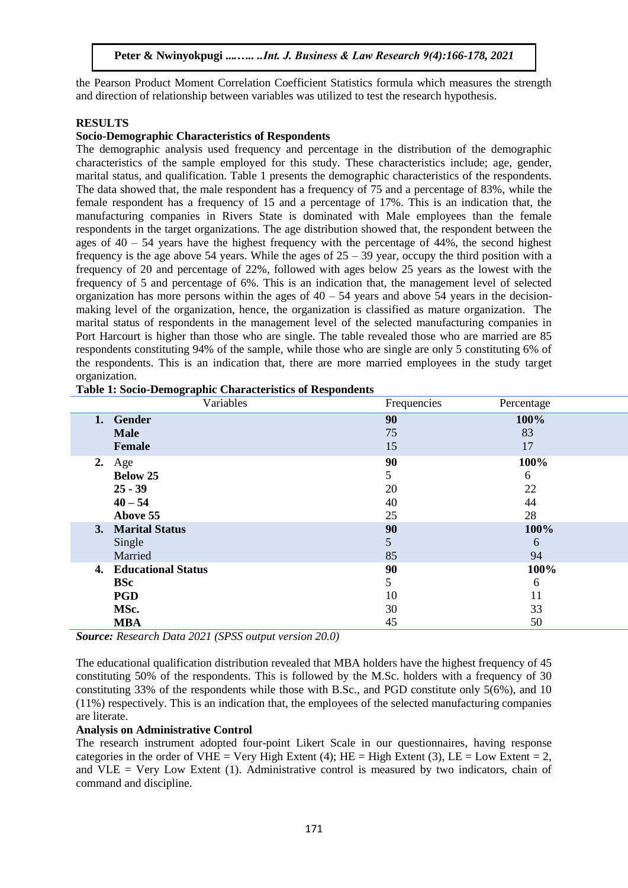the Pearson Product Moment Correlation Coefficient Statistics formula which measures the strength and direction of relationship between variables was utilized to test the research hypothesis.

#### **RESULTS**

### **Socio-Demographic Characteristics of Respondents**

The demographic analysis used frequency and percentage in the distribution of the demographic characteristics of the sample employed for this study. These characteristics include; age, gender, marital status, and qualification. Table 1 presents the demographic characteristics of the respondents. The data showed that, the male respondent has a frequency of 75 and a percentage of 83%, while the female respondent has a frequency of 15 and a percentage of 17%. This is an indication that, the manufacturing companies in Rivers State is dominated with Male employees than the female respondents in the target organizations. The age distribution showed that, the respondent between the ages of  $40 - 54$  years have the highest frequency with the percentage of  $44\%$ , the second highest frequency is the age above 54 years. While the ages of  $25 - 39$  year, occupy the third position with a frequency of 20 and percentage of 22%, followed with ages below 25 years as the lowest with the frequency of 5 and percentage of 6%. This is an indication that, the management level of selected organization has more persons within the ages of  $40 - 54$  years and above  $54$  years in the decisionmaking level of the organization, hence, the organization is classified as mature organization. The marital status of respondents in the management level of the selected manufacturing companies in Port Harcourt is higher than those who are single. The table revealed those who are married are 85 respondents constituting 94% of the sample, while those who are single are only 5 constituting 6% of the respondents. This is an indication that, there are more married employees in the study target organization.

|    | Variables                 | Frequencies | Percentage |
|----|---------------------------|-------------|------------|
|    | 1. Gender                 | 90          | 100%       |
|    | <b>Male</b>               | 75          | 83         |
|    | <b>Female</b>             | 15          | 17         |
| 2. | Age                       | 90          | 100%       |
|    | <b>Below 25</b>           | 5           | 6          |
|    | $25 - 39$                 | 20          | 22         |
|    | $40 - 54$                 | 40          | 44         |
|    | Above 55                  | 25          | 28         |
|    | 3. Marital Status         | 90          | 100%       |
|    | Single                    | 5           | 6          |
|    | Married                   | 85          | 94         |
| 4. | <b>Educational Status</b> | 90          | 100%       |
|    | <b>BSc</b>                | 5           | 6          |
|    | <b>PGD</b>                | 10          | 11         |
|    | MSc.                      | 30          | 33         |
|    | <b>MBA</b>                | 45          | 50         |

**Table 1: Socio-Demographic Characteristics of Respondents**

*Source: Research Data 2021 (SPSS output version 20.0)*

The educational qualification distribution revealed that MBA holders have the highest frequency of 45 constituting 50% of the respondents. This is followed by the M.Sc. holders with a frequency of 30 constituting 33% of the respondents while those with B.Sc., and PGD constitute only 5(6%), and 10 (11%) respectively. This is an indication that, the employees of the selected manufacturing companies are literate.

#### **Analysis on Administrative Control**

The research instrument adopted four-point Likert Scale in our questionnaires, having response categories in the order of VHE = Very High Extent (4); HE = High Extent (3), LE = Low Extent = 2. and  $VLE = V$ ery Low Extent (1). Administrative control is measured by two indicators, chain of command and discipline.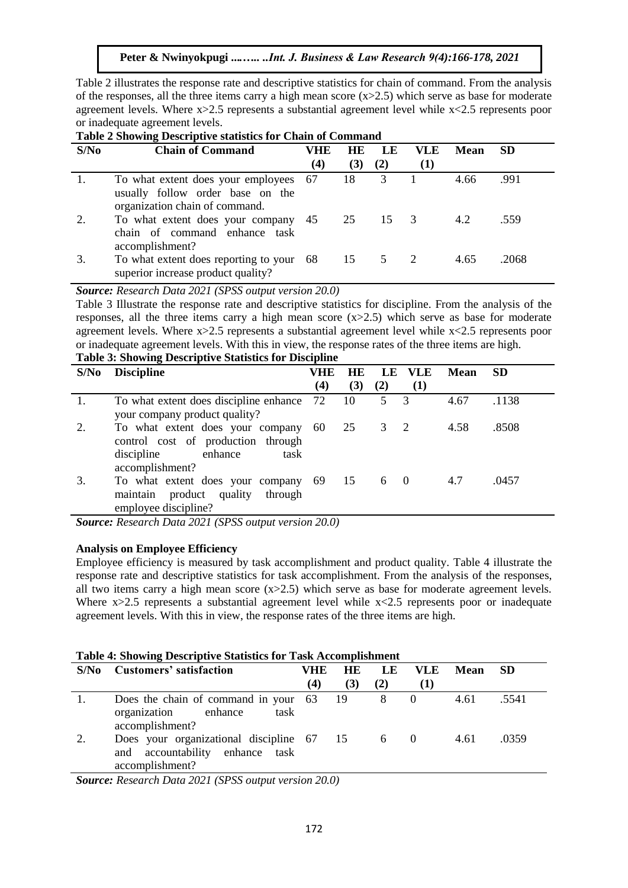Table 2 illustrates the response rate and descriptive statistics for chain of command. From the analysis of the responses, all the three items carry a high mean score  $(x>2.5)$  which serve as base for moderate agreement levels. Where  $x > 2.5$  represents a substantial agreement level while  $x < 2.5$  represents poor or inadequate agreement levels.

| Table 2 Showing Descriptive statistics for Chain of Command |                                                                                                             |     |     |     |            |      |           |
|-------------------------------------------------------------|-------------------------------------------------------------------------------------------------------------|-----|-----|-----|------------|------|-----------|
| S/N <sub>0</sub>                                            | <b>Chain of Command</b>                                                                                     | VHE | HE  | LE. | <b>VLE</b> | Mean | <b>SD</b> |
|                                                             |                                                                                                             | (4) | (3) | (2) | (1)        |      |           |
|                                                             | To what extent does your employees 67<br>usually follow order base on the<br>organization chain of command. |     | 18  | 3   |            | 4.66 | .991      |
| 2.                                                          | To what extent does your company 45<br>chain of command enhance task<br>accomplishment?                     |     | 25  | 15  | - 3        | 4.2  | .559      |
| 3.                                                          | To what extent does reporting to your 68<br>superior increase product quality?                              |     | 15  | 5   | -2         | 4.65 | .2068     |

# **Table 2 Showing Descriptive statistics for Chain of Command**

*Source: Research Data 2021 (SPSS output version 20.0)*

Table 3 Illustrate the response rate and descriptive statistics for discipline. From the analysis of the responses, all the three items carry a high mean score (x>2.5) which serve as base for moderate agreement levels. Where  $x > 2.5$  represents a substantial agreement level while  $x < 2.5$  represents poor or inadequate agreement levels. With this in view, the response rates of the three items are high. **Table 3: Showing Descriptive Statistics for Discipline** 

| S/No | Table 5. Showing Descriptive Statistics for Discipline<br><b>Discipline</b> | VHE      | HE  |     | LE VLE         | <b>Mean</b> | <b>SD</b> |
|------|-----------------------------------------------------------------------------|----------|-----|-----|----------------|-------------|-----------|
|      |                                                                             | $\bf(4)$ | (3) | (2) | (1)            |             |           |
|      | To what extent does discipline enhance                                      | 72       | 10  | 5 3 |                | 4.67        | .1138     |
|      | your company product quality?                                               |          |     |     |                |             |           |
| 2.   | To what extent does your company 60                                         |          | 25  | 3   | $\overline{2}$ | 4.58        | .8508     |
|      | control cost of production through                                          |          |     |     |                |             |           |
|      | discipline<br>enhance<br>task                                               |          |     |     |                |             |           |
|      | accomplishment?                                                             |          |     |     |                |             |           |
| 3.   | To what extent does your company 69 15                                      |          |     | 6   | $\bigcirc$     | 4.7         | .0457     |
|      | maintain product quality<br>through                                         |          |     |     |                |             |           |
|      | employee discipline?                                                        |          |     |     |                |             |           |

*Source: Research Data 2021 (SPSS output version 20.0)*

# **Analysis on Employee Efficiency**

Employee efficiency is measured by task accomplishment and product quality. Table 4 illustrate the response rate and descriptive statistics for task accomplishment. From the analysis of the responses, all two items carry a high mean score  $(x>2.5)$  which serve as base for moderate agreement levels. Where x>2.5 represents a substantial agreement level while x<2.5 represents poor or inadequate agreement levels. With this in view, the response rates of the three items are high.

#### **Table 4: Showing Descriptive Statistics for Task Accomplishment**

| S/N <sub>0</sub> | $2.50048$ is $0.440$ if $2.44$ $\leq$ $0.9444$ $\leq$ $0.95340$ $\leq$ $0.440$ $\leq$ $0.440$ $\leq$ $0.440$ $\leq$ $0.440$<br><b>Customers' satisfaction</b> | VHE | <b>HE</b> | LE        | <b>VLE</b>       | Mean SD |       |
|------------------|---------------------------------------------------------------------------------------------------------------------------------------------------------------|-----|-----------|-----------|------------------|---------|-------|
|                  |                                                                                                                                                               |     |           |           |                  |         |       |
|                  |                                                                                                                                                               | (4) | (3)       | (2)       | (1)              |         |       |
|                  | Does the chain of command in your 63 19<br>organization enhance<br>task<br>accomplishment?                                                                    |     |           | 8         | $\left( \right)$ | 4.61    | .5541 |
| 2.               | Does your organizational discipline 67 15<br>and accountability enhance task<br>accomplishment?                                                               |     |           | $6\qquad$ |                  | 4.61    | .0359 |

*Source: Research Data 2021 (SPSS output version 20.0)*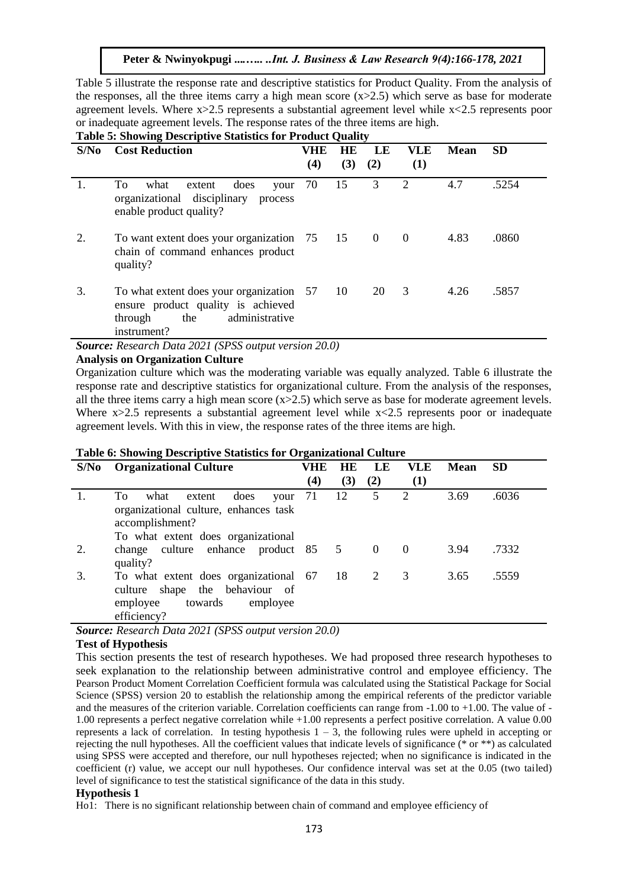Table 5 illustrate the response rate and descriptive statistics for Product Quality. From the analysis of the responses, all the three items carry a high mean score  $(x>2.5)$  which serve as base for moderate agreement levels. Where  $x > 2.5$  represents a substantial agreement level while  $x < 2.5$  represents poor or inadequate agreement levels. The response rates of the three items are high. **Table 5: Showing Descriptive Statistics for Product Quality** 

| S/No | $\epsilon$ , ono $\eta$ and $\epsilon$ over repeat to obtain the representation<br><b>Cost Reduction</b>                          | VHE<br>(4) | <b>HE</b><br>(3) | LE<br>(2)      | <b>VLE</b><br>(1) | Mean | <b>SD</b> |
|------|-----------------------------------------------------------------------------------------------------------------------------------|------------|------------------|----------------|-------------------|------|-----------|
| 1.   | To<br>what<br>does<br>extent<br>your<br>organizational disciplinary<br>process<br>enable product quality?                         | 70         | 15               | 3              | 2                 | 4.7  | .5254     |
| 2.   | To want extent does your organization 75 15<br>chain of command enhances product<br>quality?                                      |            |                  | $\overline{0}$ | $\theta$          | 4.83 | .0860     |
| 3.   | To what extent does your organization 57<br>ensure product quality is achieved<br>administrative<br>through<br>the<br>instrument? |            | 10               | 20             | 3                 | 4.26 | .5857     |

*Source: Research Data 2021 (SPSS output version 20.0)*

### **Analysis on Organization Culture**

Organization culture which was the moderating variable was equally analyzed. Table 6 illustrate the response rate and descriptive statistics for organizational culture. From the analysis of the responses, all the three items carry a high mean score  $(x>2.5)$  which serve as base for moderate agreement levels. Where  $x>2.5$  represents a substantial agreement level while  $x<2.5$  represents poor or inadequate agreement levels. With this in view, the response rates of the three items are high.

| S/No | <b>Organizational Culture</b>                                                                                                      |     | <b>HE</b> | LE             | VLE      | <b>Mean</b> | <b>SD</b> |
|------|------------------------------------------------------------------------------------------------------------------------------------|-----|-----------|----------------|----------|-------------|-----------|
|      |                                                                                                                                    | (4) | (3)       | (2)            | (1)      |             |           |
|      | To<br>does<br>what<br>extent<br>your<br>organizational culture, enhances task<br>accomplishment?                                   | 71  | 12        | 5              | 2        | 3.69        | .6036     |
|      | To what extent does organizational                                                                                                 |     |           |                |          |             |           |
| 2.   | change culture enhance product 85 5<br>quality?                                                                                    |     |           | $\overline{0}$ | $\Omega$ | 3.94        | .7332     |
| 3.   | To what extent does organizational 67 18<br>the behaviour of<br>shape<br>culture<br>employee<br>towards<br>employee<br>efficiency? |     |           | 2              | 3        | 3.65        | .5559     |

#### **Table 6: Showing Descriptive Statistics for Organizational Culture**

*Source: Research Data 2021 (SPSS output version 20.0)*

#### **Test of Hypothesis**

This section presents the test of research hypotheses. We had proposed three research hypotheses to seek explanation to the relationship between administrative control and employee efficiency. The Pearson Product Moment Correlation Coefficient formula was calculated using the Statistical Package for Social Science (SPSS) version 20 to establish the relationship among the empirical referents of the predictor variable and the measures of the criterion variable. Correlation coefficients can range from -1.00 to +1.00. The value of - 1.00 represents a perfect negative correlation while +1.00 represents a perfect positive correlation. A value 0.00 represents a lack of correlation. In testing hypothesis  $1 - 3$ , the following rules were upheld in accepting or rejecting the null hypotheses. All the coefficient values that indicate levels of significance (\* or \*\*) as calculated using SPSS were accepted and therefore, our null hypotheses rejected; when no significance is indicated in the coefficient (r) value, we accept our null hypotheses. Our confidence interval was set at the 0.05 (two tailed) level of significance to test the statistical significance of the data in this study.

#### **Hypothesis 1**

Ho1: There is no significant relationship between chain of command and employee efficiency of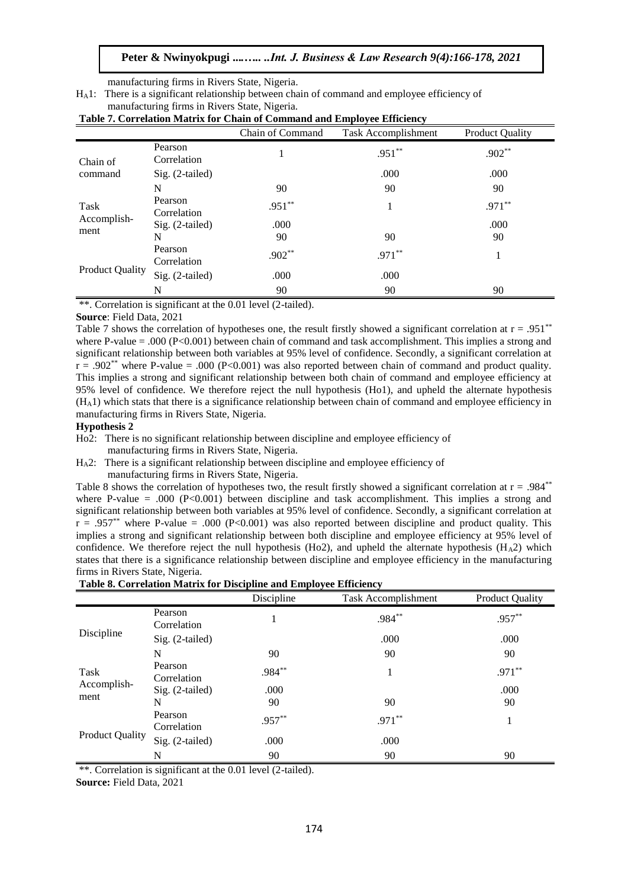manufacturing firms in Rivers State, Nigeria.

HA1: There is a significant relationship between chain of command and employee efficiency of manufacturing firms in Rivers State, Nigeria.

| Table 7. Correlation Matrix for Chain of Command and Employee Efficiency |  |
|--------------------------------------------------------------------------|--|
|--------------------------------------------------------------------------|--|

|                        |                        | Chain of Command | Task Accomplishment | <b>Product Quality</b> |
|------------------------|------------------------|------------------|---------------------|------------------------|
| Chain of               | Pearson<br>Correlation |                  | $.951**$            | $.902**$               |
| command                | $Sig. (2-tailed)$      |                  | .000                | .000                   |
|                        | N                      | 90               | 90                  | 90                     |
| Task                   | Pearson<br>Correlation | $.951**$         |                     | $.971**$               |
| Accomplish-<br>ment    | $Sig. (2-tailed)$      | .000             |                     | .000                   |
|                        | N                      | 90               | 90                  | 90                     |
| <b>Product Quality</b> | Pearson<br>Correlation | $.902**$         | $.971**$            |                        |
|                        | Sig. (2-tailed)        | .000             | .000                |                        |
|                        | N                      | 90               | 90                  | 90                     |

\*\*. Correlation is significant at the 0.01 level (2-tailed).

#### **Source**: Field Data, 2021

Table 7 shows the correlation of hypotheses one, the result firstly showed a significant correlation at  $r = .951^{**}$ where P-value = .000 (P<0.001) between chain of command and task accomplishment. This implies a strong and significant relationship between both variables at 95% level of confidence. Secondly, a significant correlation at  $r = .902^{**}$  where P-value = .000 (P<0.001) was also reported between chain of command and product quality. This implies a strong and significant relationship between both chain of command and employee efficiency at 95% level of confidence. We therefore reject the null hypothesis (Ho1), and upheld the alternate hypothesis  $(H<sub>A</sub>1)$  which stats that there is a significance relationship between chain of command and employee efficiency in manufacturing firms in Rivers State, Nigeria.

#### **Hypothesis 2**

Ho2: There is no significant relationship between discipline and employee efficiency of

- manufacturing firms in Rivers State, Nigeria.
- H<sub>A</sub>2: There is a significant relationship between discipline and employee efficiency of manufacturing firms in Rivers State, Nigeria.

Table 8 shows the correlation of hypotheses two, the result firstly showed a significant correlation at  $r = .984^{**}$ where P-value = .000 ( $P<0.001$ ) between discipline and task accomplishment. This implies a strong and significant relationship between both variables at 95% level of confidence. Secondly, a significant correlation at  $r = .957^{**}$  where P-value = .000 (P<0.001) was also reported between discipline and product quality. This implies a strong and significant relationship between both discipline and employee efficiency at 95% level of confidence. We therefore reject the null hypothesis (Ho2), and upheld the alternate hypothesis (H<sub>A</sub>2) which states that there is a significance relationship between discipline and employee efficiency in the manufacturing firms in Rivers State, Nigeria.

#### **Table 8. Correlation Matrix for Discipline and Employee Efficiency**

|                        |                        | Discipline | Task Accomplishment | <b>Product Quality</b> |
|------------------------|------------------------|------------|---------------------|------------------------|
|                        | Pearson<br>Correlation | -1         | $.984**$            | .957**                 |
| Discipline             | $Sig. (2-tailed)$      |            | .000                | .000                   |
|                        | N                      | 90         | 90                  | 90                     |
| Task                   | Pearson<br>Correlation | .984**     |                     | $.971**$               |
| Accomplish-<br>ment    | Sig. (2-tailed)        | .000       |                     | .000                   |
|                        | N                      | 90         | 90                  | 90                     |
| <b>Product Quality</b> | Pearson<br>Correlation | .957**     | $.971**$            |                        |
|                        | Sig. (2-tailed)        | .000       | .000                |                        |
|                        | N                      | 90         | 90                  | 90                     |

\*\*. Correlation is significant at the 0.01 level (2-tailed).

**Source:** Field Data, 2021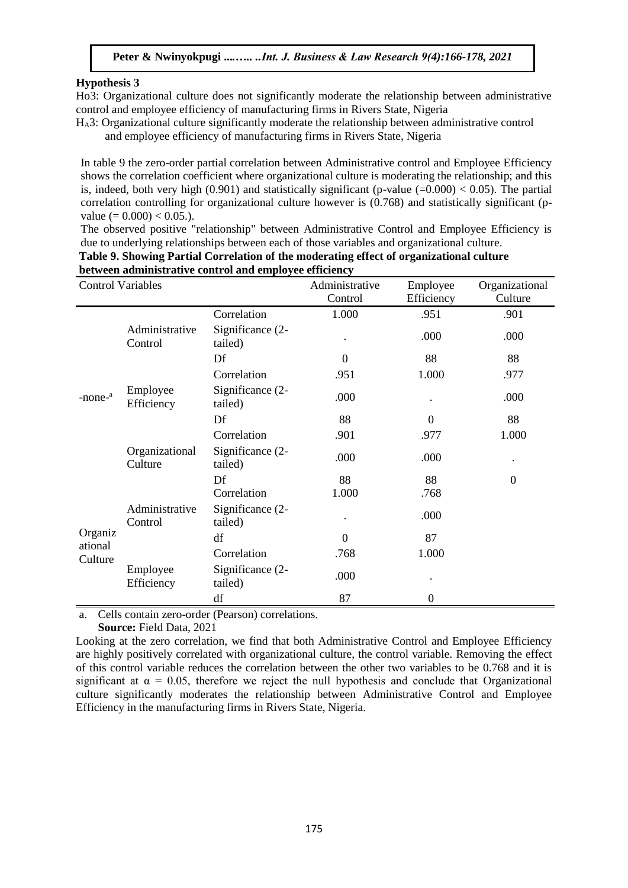#### **Hypothesis 3**

Ho3: Organizational culture does not significantly moderate the relationship between administrative control and employee efficiency of manufacturing firms in Rivers State, Nigeria

HA3: Organizational culture significantly moderate the relationship between administrative control and employee efficiency of manufacturing firms in Rivers State, Nigeria

In table 9 the zero-order partial correlation between Administrative control and Employee Efficiency shows the correlation coefficient where organizational culture is moderating the relationship; and this is, indeed, both very high (0.901) and statistically significant (p-value  $(=0.000) < 0.05$ ). The partial correlation controlling for organizational culture however is (0.768) and statistically significant (pvalue ( $= 0.000$ )  $< 0.05$ .).

The observed positive "relationship" between Administrative Control and Employee Efficiency is due to underlying relationships between each of those variables and organizational culture.

| <b>Control Variables</b> |                           | Administrative              | Employee | Organizational |                |
|--------------------------|---------------------------|-----------------------------|----------|----------------|----------------|
|                          |                           |                             | Control  | Efficiency     | Culture        |
|                          |                           | Correlation                 | 1.000    | .951           | .901           |
|                          | Administrative<br>Control | Significance (2-<br>tailed) |          | .000           | .000           |
|                          |                           | Df                          | $\Omega$ | 88             | 88             |
|                          |                           | Correlation                 | .951     | 1.000          | .977           |
| $-none-a$                | Employee<br>Efficiency    | Significance (2-<br>tailed) | .000     |                | .000           |
|                          |                           | Df                          | 88       | $\Omega$       | 88             |
|                          |                           | Correlation                 | .901     | .977           | 1.000          |
|                          | Organizational<br>Culture | Significance (2-<br>tailed) | .000     | .000           |                |
|                          |                           | Df                          | 88       | 88             | $\overline{0}$ |
|                          |                           | Correlation                 | 1.000    | .768           |                |
|                          | Administrative<br>Control | Significance (2-<br>tailed) |          | .000           |                |
| Organiz<br>ational       |                           | df                          | $\Omega$ | 87             |                |
| Culture                  |                           | Correlation                 | .768     | 1.000          |                |
|                          | Employee<br>Efficiency    | Significance (2-<br>tailed) | .000     |                |                |
|                          |                           | df                          | 87       | 0              |                |

**Table 9. Showing Partial Correlation of the moderating effect of organizational culture between administrative control and employee efficiency**

a. Cells contain zero-order (Pearson) correlations.

**Source:** Field Data, 2021

Looking at the zero correlation, we find that both Administrative Control and Employee Efficiency are highly positively correlated with organizational culture, the control variable. Removing the effect of this control variable reduces the correlation between the other two variables to be 0.768 and it is significant at  $\alpha = 0.05$ , therefore we reject the null hypothesis and conclude that Organizational culture significantly moderates the relationship between Administrative Control and Employee Efficiency in the manufacturing firms in Rivers State, Nigeria.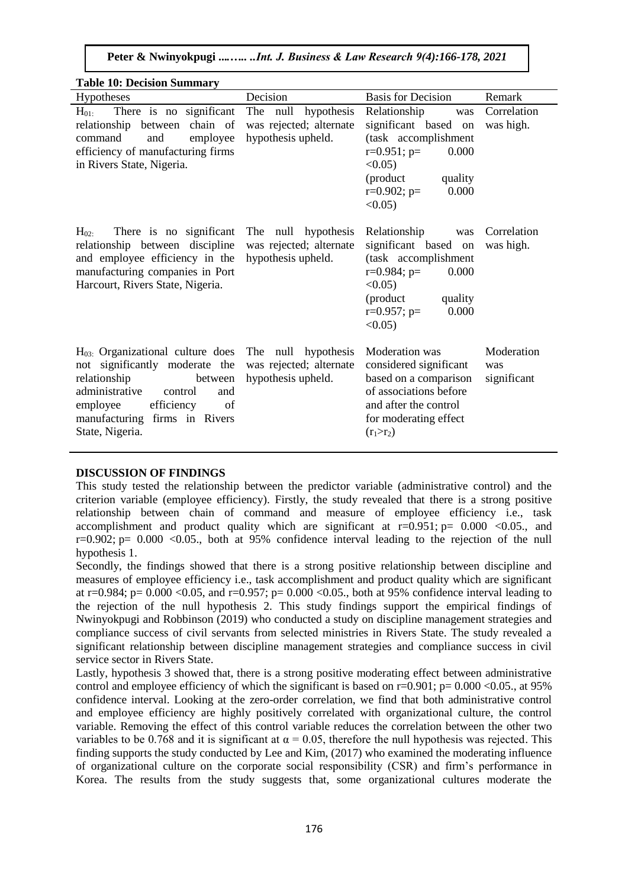**Peter & Nwinyokpugi ...***.….. ..Int. J. Business & Law Research 9(4):166-178, 2021*

| <b>Table 10: Decision Summary</b>                                                                                                                                                                                        |                                                                      |                                                                                                                                                                                    |                                  |
|--------------------------------------------------------------------------------------------------------------------------------------------------------------------------------------------------------------------------|----------------------------------------------------------------------|------------------------------------------------------------------------------------------------------------------------------------------------------------------------------------|----------------------------------|
| Hypotheses                                                                                                                                                                                                               | Decision                                                             | <b>Basis for Decision</b>                                                                                                                                                          | Remark                           |
| There is no significant<br>$H_{01}$<br>chain of<br>relationship<br>between<br>command<br>employee<br>and<br>efficiency of manufacturing firms<br>in Rivers State, Nigeria.                                               | The null hypothesis<br>was rejected; alternate<br>hypothesis upheld. | Relationship<br>was<br>significant based<br>on<br>(task accomplishment<br>$r=0.951$ ; $p=$<br>0.000<br>$< 0.05$ )<br>(product<br>quality<br>$r=0.902$ ; $p=$<br>0.000<br>$<0.05$ ) | Correlation<br>was high.         |
| $H_{02}$<br>There is no significant<br>relationship between discipline<br>and employee efficiency in the<br>manufacturing companies in Port<br>Harcourt, Rivers State, Nigeria.                                          | The null hypothesis<br>was rejected; alternate<br>hypothesis upheld. | Relationship<br>was<br>significant based on<br>(task accomplishment<br>$r=0.984$ ; $p=$<br>0.000<br>$<0.05$ )<br>(product)<br>quality<br>$r=0.957$ ; p=<br>0.000<br>$<0.05$ )      | Correlation<br>was high.         |
| $H03$ : Organizational culture does<br>not significantly moderate the<br>relationship<br>between<br>administrative<br>control<br>and<br>efficiency<br>employee<br>of<br>manufacturing firms in Rivers<br>State, Nigeria. | The null hypothesis<br>was rejected; alternate<br>hypothesis upheld. | Moderation was<br>considered significant<br>based on a comparison<br>of associations before<br>and after the control<br>for moderating effect<br>$(r_1 > r_2)$                     | Moderation<br>was<br>significant |

#### **DISCUSSION OF FINDINGS**

This study tested the relationship between the predictor variable (administrative control) and the criterion variable (employee efficiency). Firstly, the study revealed that there is a strong positive relationship between chain of command and measure of employee efficiency i.e., task accomplishment and product quality which are significant at  $r=0.951$ ;  $p=0.000$  <0.05., and  $r=0.902$ ;  $p= 0.000$  <0.05., both at 95% confidence interval leading to the rejection of the null hypothesis 1.

Secondly, the findings showed that there is a strong positive relationship between discipline and measures of employee efficiency i.e., task accomplishment and product quality which are significant at r=0.984; p= 0.000 <0.05, and r=0.957; p= 0.000 <0.05., both at 95% confidence interval leading to the rejection of the null hypothesis 2. This study findings support the empirical findings of Nwinyokpugi and Robbinson (2019) who conducted a study on discipline management strategies and compliance success of civil servants from selected ministries in Rivers State. The study revealed a significant relationship between discipline management strategies and compliance success in civil service sector in Rivers State.

Lastly, hypothesis 3 showed that, there is a strong positive moderating effect between administrative control and employee efficiency of which the significant is based on  $r=0.901$ ;  $p=0.000 < 0.05$ ., at 95% confidence interval. Looking at the zero-order correlation, we find that both administrative control and employee efficiency are highly positively correlated with organizational culture, the control variable. Removing the effect of this control variable reduces the correlation between the other two variables to be 0.768 and it is significant at  $\alpha = 0.05$ , therefore the null hypothesis was rejected. This finding supports the study conducted by Lee and Kim, (2017) who examined the moderating influence of organizational culture on the corporate social responsibility (CSR) and firm's performance in Korea. The results from the study suggests that, some organizational cultures moderate the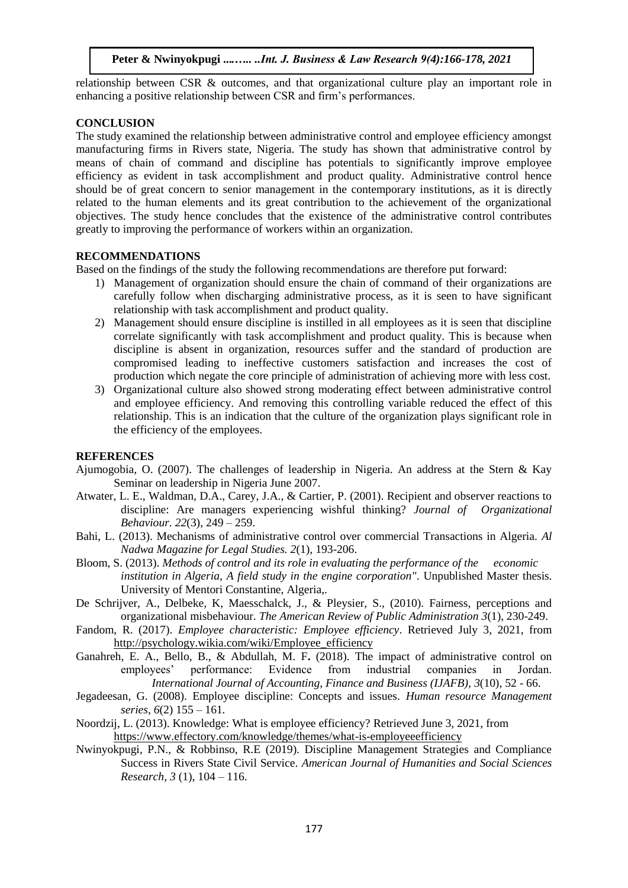relationship between CSR & outcomes, and that organizational culture play an important role in enhancing a positive relationship between CSR and firm's performances.

#### **CONCLUSION**

The study examined the relationship between administrative control and employee efficiency amongst manufacturing firms in Rivers state, Nigeria. The study has shown that administrative control by means of chain of command and discipline has potentials to significantly improve employee efficiency as evident in task accomplishment and product quality. Administrative control hence should be of great concern to senior management in the contemporary institutions, as it is directly related to the human elements and its great contribution to the achievement of the organizational objectives. The study hence concludes that the existence of the administrative control contributes greatly to improving the performance of workers within an organization.

#### **RECOMMENDATIONS**

Based on the findings of the study the following recommendations are therefore put forward:

- 1) Management of organization should ensure the chain of command of their organizations are carefully follow when discharging administrative process, as it is seen to have significant relationship with task accomplishment and product quality.
- 2) Management should ensure discipline is instilled in all employees as it is seen that discipline correlate significantly with task accomplishment and product quality. This is because when discipline is absent in organization, resources suffer and the standard of production are compromised leading to ineffective customers satisfaction and increases the cost of production which negate the core principle of administration of achieving more with less cost.
- 3) Organizational culture also showed strong moderating effect between administrative control and employee efficiency. And removing this controlling variable reduced the effect of this relationship. This is an indication that the culture of the organization plays significant role in the efficiency of the employees.

#### **REFERENCES**

- Ajumogobia, O. (2007). The challenges of leadership in Nigeria. An address at the Stern  $\&$  Kay Seminar on leadership in Nigeria June 2007.
- Atwater, L. E., Waldman, D.A., Carey, J.A., & Cartier, P. (2001). Recipient and observer reactions to discipline: Are managers experiencing wishful thinking? *Journal of Organizational Behaviour. 22*(3), 249 – 259.
- Bahi, L. (2013). Mechanisms of administrative control over commercial Transactions in Algeria. *Al Nadwa Magazine for Legal Studies. 2*(1), 193-206.
- Bloom, S. (2013). *Methods of control and its role in evaluating the performance of the economic institution in Algeria, A field study in the engine corporation"*. Unpublished Master thesis. University of Mentori Constantine, Algeria,.
- De Schrijver, A., Delbeke, K, Maesschalck, J., & Pleysier, S., (2010). Fairness, perceptions and organizational misbehaviour. *The American Review of Public Administration 3*(1), 230-249.
- Fandom, R. (2017). *Employee characteristic: Employee efficiency*. Retrieved July 3, 2021, from [http://psychology.wikia.com/wiki/Employee\\_efficiency](http://psychology.wikia.com/wiki/Employee_efficiency)
- Ganahreh, E. A., Bello, B., & Abdullah, M. F**.** (2018). The impact of administrative control on employees' performance: Evidence from industrial companies in Jordan. *International Journal of Accounting, Finance and Business (IJAFB), 3*(10), 52 - 66.
- Jegadeesan, G. (2008). Employee discipline: Concepts and issues. *Human resource Management series, 6*(2) 155 – 161*.*
- Noordzij, L. (2013). Knowledge: What is employee efficiency? Retrieved June 3, 2021, from <https://www.effectory.com/knowledge/themes/what-is-employeeefficiency>
- Nwinyokpugi, P.N., & Robbinso, R.E (2019). Discipline Management Strategies and Compliance Success in Rivers State Civil Service. *American Journal of Humanities and Social Sciences Research, 3* (1), 104 – 116.